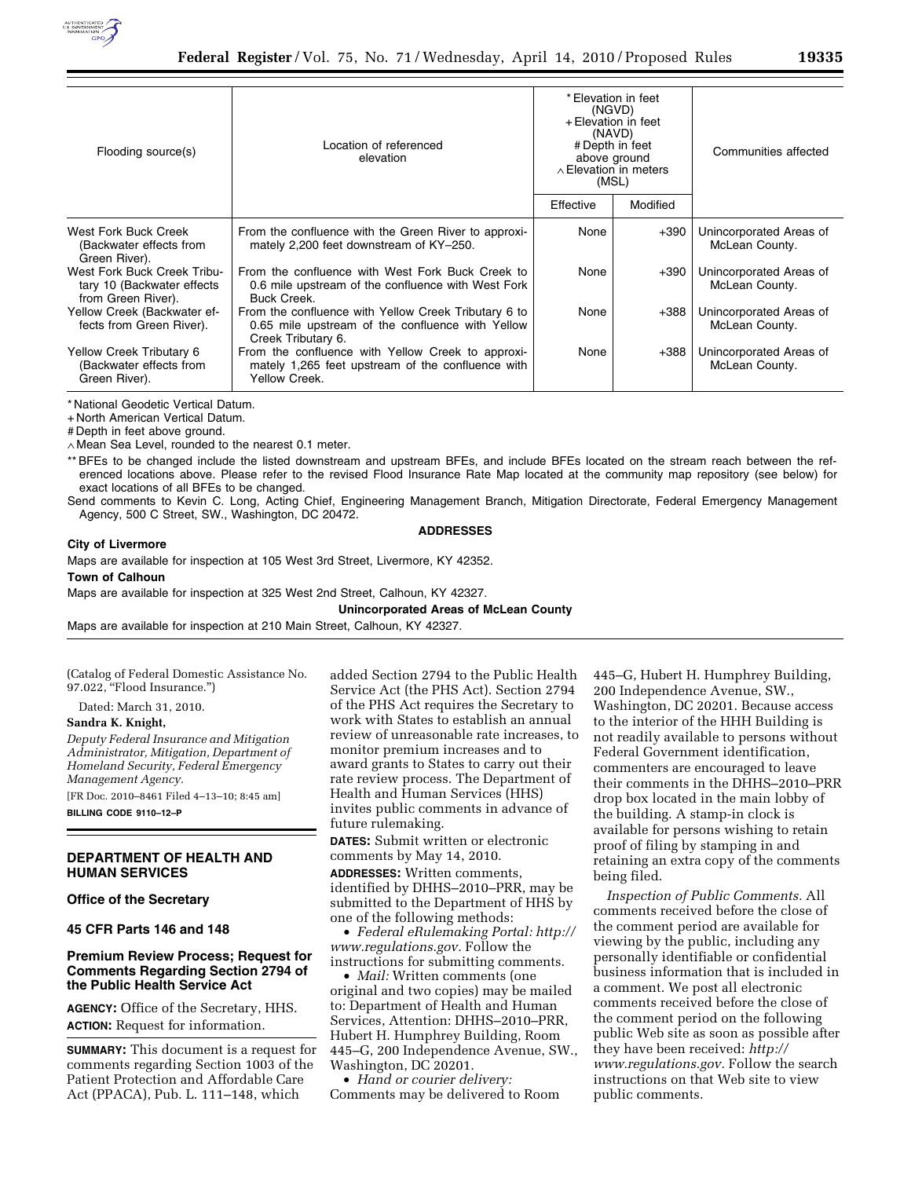

| Flooding source(s)                                                              | Location of referenced<br>elevation                                                                                            | * Elevation in feet<br>(NGVD)<br>+ Elevation in feet<br>(NAVD)<br># Depth in feet<br>above ground<br>$\land$ Elevation in meters<br>(MSL) |          | Communities affected                      |
|---------------------------------------------------------------------------------|--------------------------------------------------------------------------------------------------------------------------------|-------------------------------------------------------------------------------------------------------------------------------------------|----------|-------------------------------------------|
|                                                                                 |                                                                                                                                | Effective                                                                                                                                 | Modified |                                           |
| West Fork Buck Creek<br>(Backwater effects from<br>Green River).                | From the confluence with the Green River to approxi-<br>mately 2,200 feet downstream of KY-250.                                | None                                                                                                                                      | $+390$   | Unincorporated Areas of<br>McLean County. |
| West Fork Buck Creek Tribu-<br>tary 10 (Backwater effects<br>from Green River). | From the confluence with West Fork Buck Creek to<br>0.6 mile upstream of the confluence with West Fork<br><b>Buck Creek.</b>   | None                                                                                                                                      | $+390$   | Unincorporated Areas of<br>McLean County. |
| Yellow Creek (Backwater ef-<br>fects from Green River).                         | From the confluence with Yellow Creek Tributary 6 to<br>0.65 mile upstream of the confluence with Yellow<br>Creek Tributary 6. | None                                                                                                                                      | $+388$   | Unincorporated Areas of<br>McLean County. |
| Yellow Creek Tributary 6<br>(Backwater effects from<br>Green River).            | From the confluence with Yellow Creek to approxi-<br>mately 1,265 feet upstream of the confluence with<br>Yellow Creek.        | None                                                                                                                                      | $+388$   | Unincorporated Areas of<br>McLean County. |

\* National Geodetic Vertical Datum.

+ North American Vertical Datum.

# Depth in feet above ground.

∧ Mean Sea Level, rounded to the nearest 0.1 meter.

\*\* BFEs to be changed include the listed downstream and upstream BFEs, and include BFEs located on the stream reach between the referenced locations above. Please refer to the revised Flood Insurance Rate Map located at the community map repository (see below) for exact locations of all BFEs to be changed.

Send comments to Kevin C. Long, Acting Chief, Engineering Management Branch, Mitigation Directorate, Federal Emergency Management Agency, 500 C Street, SW., Washington, DC 20472.

#### **ADDRESSES**

## **City of Livermore**

Maps are available for inspection at 105 West 3rd Street, Livermore, KY 42352.

**Town of Calhoun** 

Maps are available for inspection at 325 West 2nd Street, Calhoun, KY 42327.

**Unincorporated Areas of McLean County** 

Maps are available for inspection at 210 Main Street, Calhoun, KY 42327.

(Catalog of Federal Domestic Assistance No. 97.022, ''Flood Insurance.'')

Dated: March 31, 2010.

### **Sandra K. Knight,**

*Deputy Federal Insurance and Mitigation Administrator, Mitigation, Department of Homeland Security, Federal Emergency Management Agency.* 

[FR Doc. 2010–8461 Filed 4–13–10; 8:45 am] **BILLING CODE 9110–12–P** 

## **DEPARTMENT OF HEALTH AND HUMAN SERVICES**

## **Office of the Secretary**

**45 CFR Parts 146 and 148** 

# **Premium Review Process; Request for Comments Regarding Section 2794 of the Public Health Service Act**

**AGENCY:** Office of the Secretary, HHS. **ACTION:** Request for information.

**SUMMARY:** This document is a request for comments regarding Section 1003 of the Patient Protection and Affordable Care Act (PPACA), Pub. L. 111–148, which

added Section 2794 to the Public Health Service Act (the PHS Act). Section 2794 of the PHS Act requires the Secretary to work with States to establish an annual review of unreasonable rate increases, to monitor premium increases and to award grants to States to carry out their rate review process. The Department of Health and Human Services (HHS) invites public comments in advance of future rulemaking.

**DATES:** Submit written or electronic comments by May 14, 2010.

**ADDRESSES:** Written comments, identified by DHHS–2010–PRR, may be submitted to the Department of HHS by one of the following methods:

• *Federal eRulemaking Portal: http:// www.regulations.gov.* Follow the instructions for submitting comments.

• *Mail:* Written comments (one original and two copies) may be mailed to: Department of Health and Human Services, Attention: DHHS–2010–PRR, Hubert H. Humphrey Building, Room 445–G, 200 Independence Avenue, SW., Washington, DC 20201.

• *Hand or courier delivery:*  Comments may be delivered to Room 445–G, Hubert H. Humphrey Building, 200 Independence Avenue, SW., Washington, DC 20201. Because access to the interior of the HHH Building is not readily available to persons without Federal Government identification, commenters are encouraged to leave their comments in the DHHS–2010–PRR drop box located in the main lobby of the building. A stamp-in clock is available for persons wishing to retain proof of filing by stamping in and retaining an extra copy of the comments being filed.

*Inspection of Public Comments.* All comments received before the close of the comment period are available for viewing by the public, including any personally identifiable or confidential business information that is included in a comment. We post all electronic comments received before the close of the comment period on the following public Web site as soon as possible after they have been received: *http:// www.regulations.gov.* Follow the search instructions on that Web site to view public comments.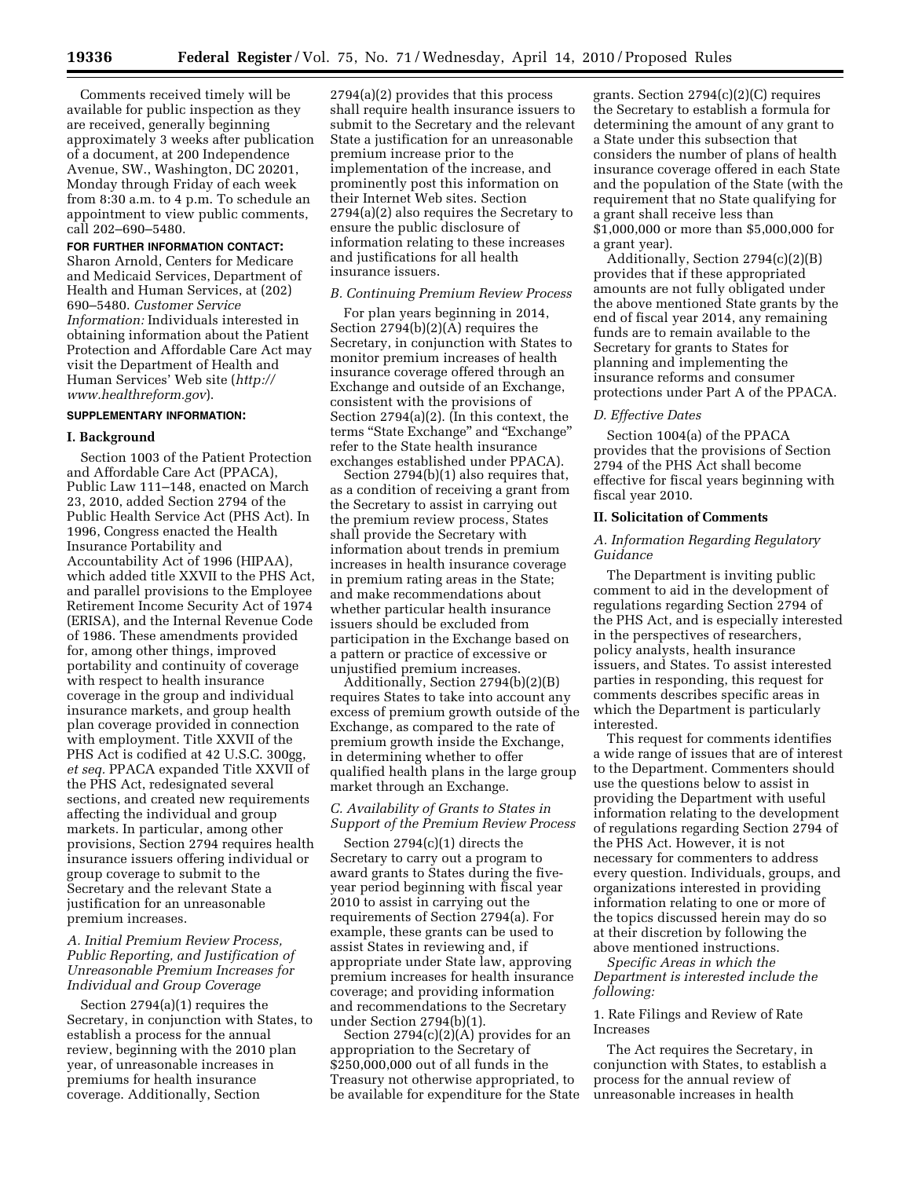Comments received timely will be available for public inspection as they are received, generally beginning approximately 3 weeks after publication of a document, at 200 Independence Avenue, SW., Washington, DC 20201, Monday through Friday of each week from 8:30 a.m. to 4 p.m. To schedule an appointment to view public comments, call 202–690–5480.

# **FOR FURTHER INFORMATION CONTACT:**

Sharon Arnold, Centers for Medicare and Medicaid Services, Department of Health and Human Services, at (202) 690–5480. *Customer Service Information:* Individuals interested in obtaining information about the Patient Protection and Affordable Care Act may visit the Department of Health and Human Services' Web site (*http:// www.healthreform.gov*).

### **SUPPLEMENTARY INFORMATION:**

#### **I. Background**

Section 1003 of the Patient Protection and Affordable Care Act (PPACA), Public Law 111–148, enacted on March 23, 2010, added Section 2794 of the Public Health Service Act (PHS Act). In 1996, Congress enacted the Health Insurance Portability and Accountability Act of 1996 (HIPAA), which added title XXVII to the PHS Act, and parallel provisions to the Employee Retirement Income Security Act of 1974 (ERISA), and the Internal Revenue Code of 1986. These amendments provided for, among other things, improved portability and continuity of coverage with respect to health insurance coverage in the group and individual insurance markets, and group health plan coverage provided in connection with employment. Title XXVII of the PHS Act is codified at 42 U.S.C. 300gg, *et seq.* PPACA expanded Title XXVII of the PHS Act, redesignated several sections, and created new requirements affecting the individual and group markets. In particular, among other provisions, Section 2794 requires health insurance issuers offering individual or group coverage to submit to the Secretary and the relevant State a justification for an unreasonable premium increases.

## *A. Initial Premium Review Process, Public Reporting, and Justification of Unreasonable Premium Increases for Individual and Group Coverage*

Section 2794(a)(1) requires the Secretary, in conjunction with States, to establish a process for the annual review, beginning with the 2010 plan year, of unreasonable increases in premiums for health insurance coverage. Additionally, Section

2794(a)(2) provides that this process shall require health insurance issuers to submit to the Secretary and the relevant State a justification for an unreasonable premium increase prior to the implementation of the increase, and prominently post this information on their Internet Web sites. Section 2794(a)(2) also requires the Secretary to ensure the public disclosure of information relating to these increases and justifications for all health insurance issuers.

### *B. Continuing Premium Review Process*

For plan years beginning in 2014, Section 2794(b)(2)(A) requires the Secretary, in conjunction with States to monitor premium increases of health insurance coverage offered through an Exchange and outside of an Exchange, consistent with the provisions of Section 2794(a)(2). (In this context, the terms ''State Exchange'' and ''Exchange'' refer to the State health insurance exchanges established under PPACA).

Section 2794(b)(1) also requires that, as a condition of receiving a grant from the Secretary to assist in carrying out the premium review process, States shall provide the Secretary with information about trends in premium increases in health insurance coverage in premium rating areas in the State; and make recommendations about whether particular health insurance issuers should be excluded from participation in the Exchange based on a pattern or practice of excessive or unjustified premium increases.

Additionally, Section 2794(b)(2)(B) requires States to take into account any excess of premium growth outside of the Exchange, as compared to the rate of premium growth inside the Exchange, in determining whether to offer qualified health plans in the large group market through an Exchange.

# *C. Availability of Grants to States in Support of the Premium Review Process*

Section 2794(c)(1) directs the Secretary to carry out a program to award grants to States during the fiveyear period beginning with fiscal year 2010 to assist in carrying out the requirements of Section 2794(a). For example, these grants can be used to assist States in reviewing and, if appropriate under State law, approving premium increases for health insurance coverage; and providing information and recommendations to the Secretary under Section 2794(b)(1).

Section  $2794(c)(2)(A)$  provides for an appropriation to the Secretary of \$250,000,000 out of all funds in the Treasury not otherwise appropriated, to be available for expenditure for the State

grants. Section 2794(c)(2)(C) requires the Secretary to establish a formula for determining the amount of any grant to a State under this subsection that considers the number of plans of health insurance coverage offered in each State and the population of the State (with the requirement that no State qualifying for a grant shall receive less than \$1,000,000 or more than \$5,000,000 for a grant year).

Additionally, Section 2794(c)(2)(B) provides that if these appropriated amounts are not fully obligated under the above mentioned State grants by the end of fiscal year 2014, any remaining funds are to remain available to the Secretary for grants to States for planning and implementing the insurance reforms and consumer protections under Part A of the PPACA.

# *D. Effective Dates*

Section 1004(a) of the PPACA provides that the provisions of Section 2794 of the PHS Act shall become effective for fiscal years beginning with fiscal year 2010.

### **II. Solicitation of Comments**

## *A. Information Regarding Regulatory Guidance*

The Department is inviting public comment to aid in the development of regulations regarding Section 2794 of the PHS Act, and is especially interested in the perspectives of researchers, policy analysts, health insurance issuers, and States. To assist interested parties in responding, this request for comments describes specific areas in which the Department is particularly interested.

This request for comments identifies a wide range of issues that are of interest to the Department. Commenters should use the questions below to assist in providing the Department with useful information relating to the development of regulations regarding Section 2794 of the PHS Act. However, it is not necessary for commenters to address every question. Individuals, groups, and organizations interested in providing information relating to one or more of the topics discussed herein may do so at their discretion by following the above mentioned instructions.

*Specific Areas in which the Department is interested include the following:* 

1. Rate Filings and Review of Rate Increases

The Act requires the Secretary, in conjunction with States, to establish a process for the annual review of unreasonable increases in health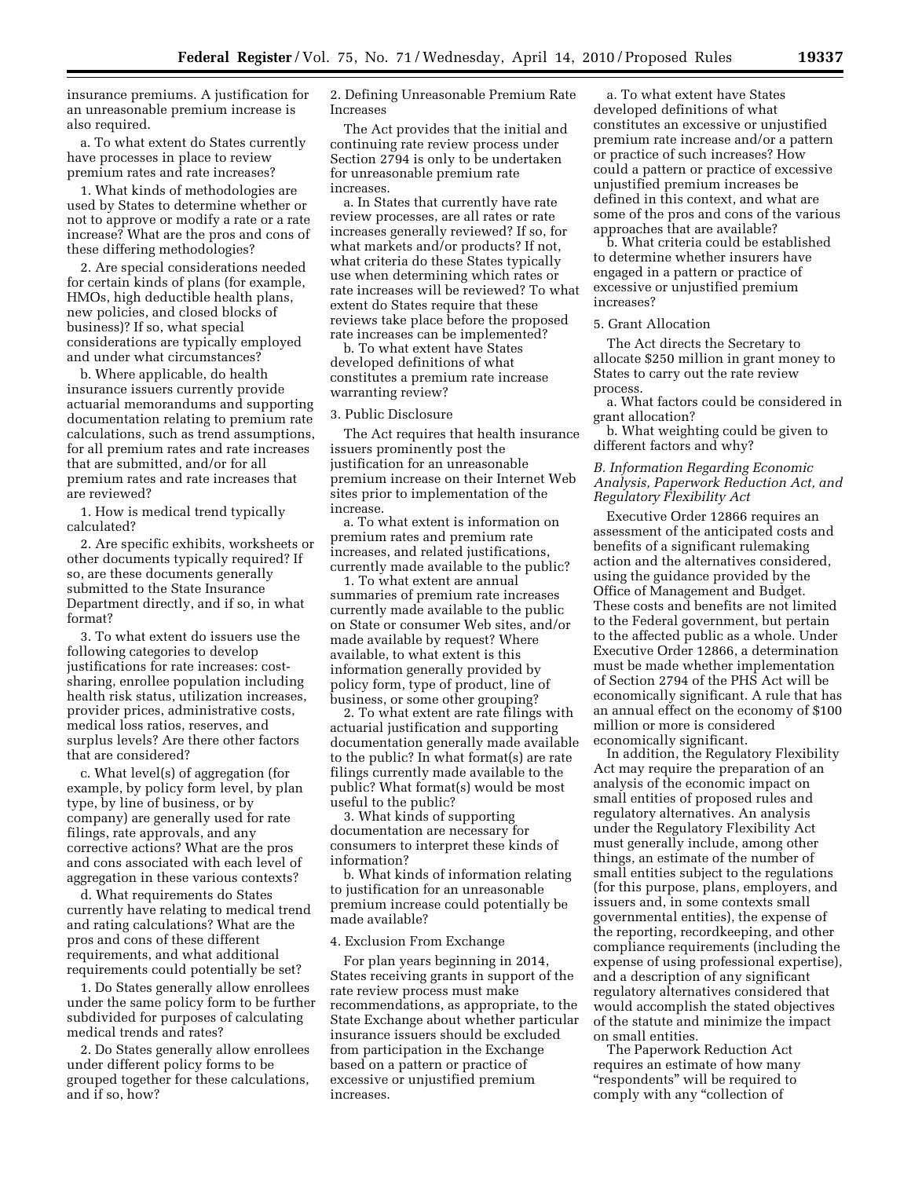insurance premiums. A justification for an unreasonable premium increase is also required.

a. To what extent do States currently have processes in place to review premium rates and rate increases?

1. What kinds of methodologies are used by States to determine whether or not to approve or modify a rate or a rate increase? What are the pros and cons of these differing methodologies?

2. Are special considerations needed for certain kinds of plans (for example, HMOs, high deductible health plans, new policies, and closed blocks of business)? If so, what special considerations are typically employed and under what circumstances?

b. Where applicable, do health insurance issuers currently provide actuarial memorandums and supporting documentation relating to premium rate calculations, such as trend assumptions, for all premium rates and rate increases that are submitted, and/or for all premium rates and rate increases that are reviewed?

1. How is medical trend typically calculated?

2. Are specific exhibits, worksheets or other documents typically required? If so, are these documents generally submitted to the State Insurance Department directly, and if so, in what format?

3. To what extent do issuers use the following categories to develop justifications for rate increases: costsharing, enrollee population including health risk status, utilization increases, provider prices, administrative costs, medical loss ratios, reserves, and surplus levels? Are there other factors that are considered?

c. What level(s) of aggregation (for example, by policy form level, by plan type, by line of business, or by company) are generally used for rate filings, rate approvals, and any corrective actions? What are the pros and cons associated with each level of aggregation in these various contexts?

d. What requirements do States currently have relating to medical trend and rating calculations? What are the pros and cons of these different requirements, and what additional requirements could potentially be set?

1. Do States generally allow enrollees under the same policy form to be further subdivided for purposes of calculating medical trends and rates?

2. Do States generally allow enrollees under different policy forms to be grouped together for these calculations, and if so, how?

2. Defining Unreasonable Premium Rate Increases

The Act provides that the initial and continuing rate review process under Section 2794 is only to be undertaken for unreasonable premium rate increases.

a. In States that currently have rate review processes, are all rates or rate increases generally reviewed? If so, for what markets and/or products? If not, what criteria do these States typically use when determining which rates or rate increases will be reviewed? To what extent do States require that these reviews take place before the proposed rate increases can be implemented?

b. To what extent have States developed definitions of what constitutes a premium rate increase warranting review?

## 3. Public Disclosure

The Act requires that health insurance issuers prominently post the justification for an unreasonable premium increase on their Internet Web sites prior to implementation of the increase.

a. To what extent is information on premium rates and premium rate increases, and related justifications, currently made available to the public?

1. To what extent are annual summaries of premium rate increases currently made available to the public on State or consumer Web sites, and/or made available by request? Where available, to what extent is this information generally provided by policy form, type of product, line of business, or some other grouping?

2. To what extent are rate filings with actuarial justification and supporting documentation generally made available to the public? In what format(s) are rate filings currently made available to the public? What format(s) would be most useful to the public?

3. What kinds of supporting documentation are necessary for consumers to interpret these kinds of information?

b. What kinds of information relating to justification for an unreasonable premium increase could potentially be made available?

## 4. Exclusion From Exchange

For plan years beginning in 2014, States receiving grants in support of the rate review process must make recommendations, as appropriate, to the State Exchange about whether particular insurance issuers should be excluded from participation in the Exchange based on a pattern or practice of excessive or unjustified premium increases.

a. To what extent have States developed definitions of what constitutes an excessive or unjustified premium rate increase and/or a pattern or practice of such increases? How could a pattern or practice of excessive unjustified premium increases be defined in this context, and what are some of the pros and cons of the various approaches that are available?

b. What criteria could be established to determine whether insurers have engaged in a pattern or practice of excessive or unjustified premium increases?

## 5. Grant Allocation

The Act directs the Secretary to allocate \$250 million in grant money to States to carry out the rate review process.

a. What factors could be considered in grant allocation?

b. What weighting could be given to different factors and why?

# *B. Information Regarding Economic Analysis, Paperwork Reduction Act, and Regulatory Flexibility Act*

Executive Order 12866 requires an assessment of the anticipated costs and benefits of a significant rulemaking action and the alternatives considered, using the guidance provided by the Office of Management and Budget. These costs and benefits are not limited to the Federal government, but pertain to the affected public as a whole. Under Executive Order 12866, a determination must be made whether implementation of Section 2794 of the PHS Act will be economically significant. A rule that has an annual effect on the economy of \$100 million or more is considered economically significant.

In addition, the Regulatory Flexibility Act may require the preparation of an analysis of the economic impact on small entities of proposed rules and regulatory alternatives. An analysis under the Regulatory Flexibility Act must generally include, among other things, an estimate of the number of small entities subject to the regulations (for this purpose, plans, employers, and issuers and, in some contexts small governmental entities), the expense of the reporting, recordkeeping, and other compliance requirements (including the expense of using professional expertise), and a description of any significant regulatory alternatives considered that would accomplish the stated objectives of the statute and minimize the impact on small entities.

The Paperwork Reduction Act requires an estimate of how many ''respondents'' will be required to comply with any "collection of